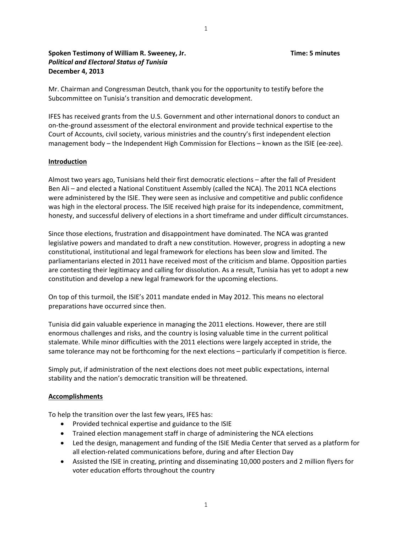## **Spoken Testimony of William R. Sweeney, Jr. Time: 5 minutes** *Political and Electoral Status of Tunisia* **December 4, 2013**

Mr. Chairman and Congressman Deutch, thank you for the opportunity to testify before the Subcommittee on Tunisia's transition and democratic development.

IFES has received grants from the U.S. Government and other international donors to conduct an on‐the‐ground assessment of the electoral environment and provide technical expertise to the Court of Accounts, civil society, various ministries and the country's first independent election management body – the Independent High Commission for Elections – known as the ISIE (ee-zee).

## **Introduction**

Almost two years ago, Tunisians held their first democratic elections – after the fall of President Ben Ali – and elected a National Constituent Assembly (called the NCA). The 2011 NCA elections were administered by the ISIE. They were seen as inclusive and competitive and public confidence was high in the electoral process. The ISIE received high praise for its independence, commitment, honesty, and successful delivery of elections in a short timeframe and under difficult circumstances.

Since those elections, frustration and disappointment have dominated. The NCA was granted legislative powers and mandated to draft a new constitution. However, progress in adopting a new constitutional, institutional and legal framework for elections has been slow and limited. The parliamentarians elected in 2011 have received most of the criticism and blame. Opposition parties are contesting their legitimacy and calling for dissolution. As a result, Tunisia has yet to adopt a new constitution and develop a new legal framework for the upcoming elections.

On top of this turmoil, the ISIE's 2011 mandate ended in May 2012. This means no electoral preparations have occurred since then.

Tunisia did gain valuable experience in managing the 2011 elections. However, there are still enormous challenges and risks, and the country is losing valuable time in the current political stalemate. While minor difficulties with the 2011 elections were largely accepted in stride, the same tolerance may not be forthcoming for the next elections – particularly if competition is fierce.

Simply put, if administration of the next elections does not meet public expectations, internal stability and the nation's democratic transition will be threatened.

## **Accomplishments**

To help the transition over the last few years, IFES has:

- Provided technical expertise and guidance to the ISIE
- Trained election management staff in charge of administering the NCA elections
- Led the design, management and funding of the ISIE Media Center that served as a platform for all election‐related communications before, during and after Election Day
- Assisted the ISIE in creating, printing and disseminating 10,000 posters and 2 million flyers for voter education efforts throughout the country